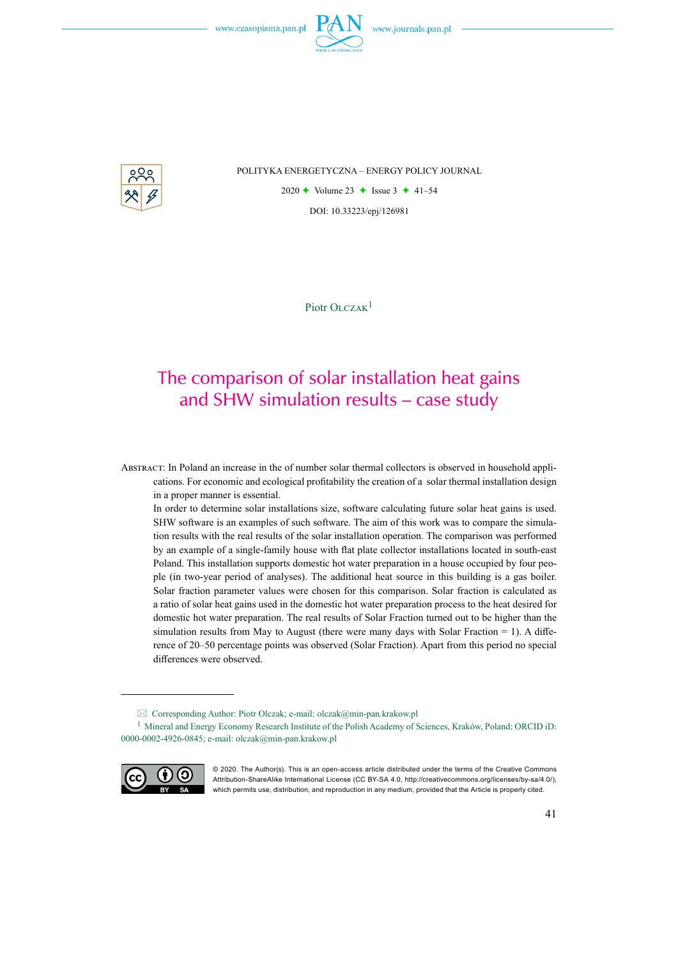

POLITYKA ENERGETYCZNA – ENERGY POLICY JOURNAL

2020  $\rightarrow$  Volume 23  $\rightarrow$  Issue 3  $\rightarrow$  41–54 DOI: 10.33223/epj/126981

Piotr OLCZAK<sup>1</sup>

# The comparison of solar installation heat gains and SHW simulation results – case study

Abstract: In Poland an increase in the of number solar thermal collectors is observed in household applications. For economic and ecological profitability the creation of a solar thermal installation design in a proper manner is essential.

In order to determine solar installations size, software calculating future solar heat gains is used. SHW software is an examples of such software. The aim of this work was to compare the simulation results with the real results of the solar installation operation. The comparison was performed by an example of a single-family house with flat plate collector installations located in south-east Poland. This installation supports domestic hot water preparation in a house occupied by four people (in two-year period of analyses). The additional heat source in this building is a gas boiler. Solar fraction parameter values were chosen for this comparison. Solar fraction is calculated as a ratio of solar heat gains used in the domestic hot water preparation process to the heat desired for domestic hot water preparation. The real results of Solar Fraction turned out to be higher than the simulation results from May to August (there were many days with Solar Fraction  $= 1$ ). A difference of 20–50 percentage points was observed (Solar Fraction). Apart from this period no special differences were observed.

<sup>1</sup> Mineral and Energy Economy Research Institute of the Polish Academy of Sciences, Kraków, Poland; ORCID iD: 0000-0002-4926-0845; e-mail: olczak@min-pan.krakow.pl



<sup>© 2020.</sup> The Author(s). This is an open-access article distributed under the terms of the Creative Commons Attribution-ShareAlike International License (CC BY-SA 4.0, http://creativecommons.org/licenses/by-sa/4.0/), which permits use, distribution, and reproduction in any medium, provided that the Article is properly cited.

Corresponding Author: Piotr Olczak; e-mail: olczak@min-pan.krakow.pl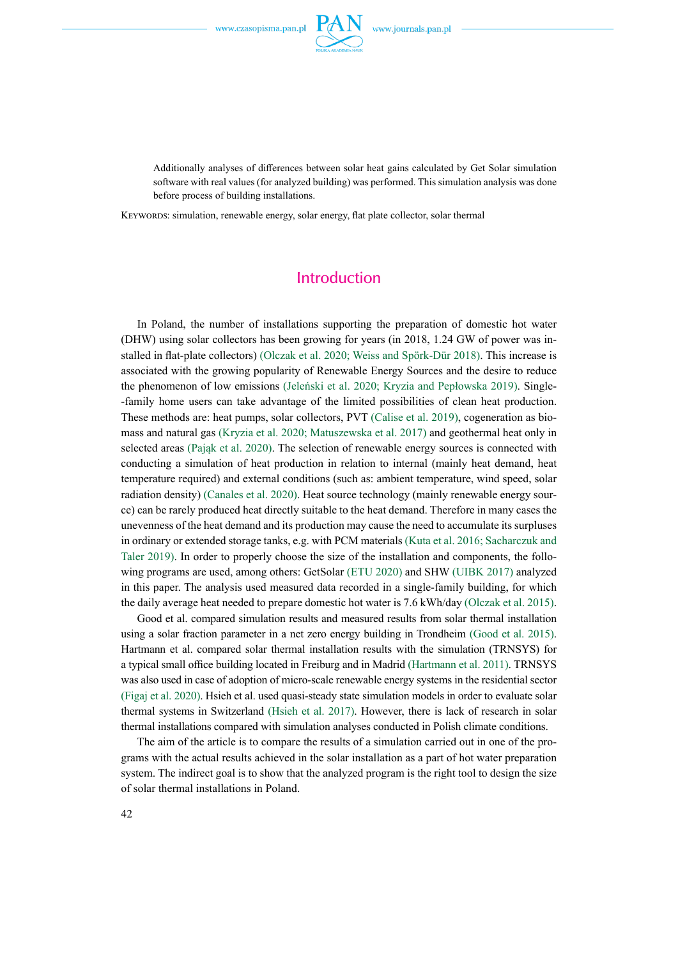

Additionally analyses of differences between solar heat gains calculated by Get Solar simulation software with real values (for analyzed building) was performed. This simulation analysis was done before process of building installations.

KEYWORDS: simulation, renewable energy, solar energy, flat plate collector, solar thermal

#### Introduction

In Poland, the number of installations supporting the preparation of domestic hot water (DHW) using solar collectors has been growing for years (in 2018, 1.24 GW of power was installed in flat-plate collectors) (Olczak et al. 2020; Weiss and Spörk‐Dür 2018). This increase is associated with the growing popularity of Renewable Energy Sources and the desire to reduce the phenomenon of low emissions (Jeleński et al. 2020; Kryzia and Pepłowska 2019). Single- -family home users can take advantage of the limited possibilities of clean heat production. These methods are: heat pumps, solar collectors, PVT (Calise et al. 2019), cogeneration as biomass and natural gas (Kryzia et al. 2020; Matuszewska et al. 2017) and geothermal heat only in selected areas (Pająk et al. 2020). The selection of renewable energy sources is connected with conducting a simulation of heat production in relation to internal (mainly heat demand, heat temperature required) and external conditions (such as: ambient temperature, wind speed, solar radiation density) (Canales et al. 2020). Heat source technology (mainly renewable energy source) can be rarely produced heat directly suitable to the heat demand. Therefore in many cases the unevenness of the heat demand and its production may cause the need to accumulate its surpluses in ordinary or extended storage tanks, e.g. with PCM materials (Kuta et al. 2016; Sacharczuk and Taler 2019). In order to properly choose the size of the installation and components, the following programs are used, among others: GetSolar (ETU 2020) and SHW (UIBK 2017) analyzed in this paper. The analysis used measured data recorded in a single-family building, for which the daily average heat needed to prepare domestic hot water is 7.6 kWh/day (Olczak et al. 2015).

Good et al. compared simulation results and measured results from solar thermal installation using a solar fraction parameter in a net zero energy building in Trondheim (Good et al. 2015). Hartmann et al. compared solar thermal installation results with the simulation (TRNSYS) for a typical small office building located in Freiburg and in Madrid (Hartmann et al. 2011). TRNSYS was also used in case of adoption of micro-scale renewable energy systems in the residential sector (Figaj et al. 2020). Hsieh et al. used quasi-steady state simulation models in order to evaluate solar thermal systems in Switzerland (Hsieh et al. 2017). However, there is lack of research in solar thermal installations compared with simulation analyses conducted in Polish climate conditions.

The aim of the article is to compare the results of a simulation carried out in one of the programs with the actual results achieved in the solar installation as a part of hot water preparation system. The indirect goal is to show that the analyzed program is the right tool to design the size of solar thermal installations in Poland.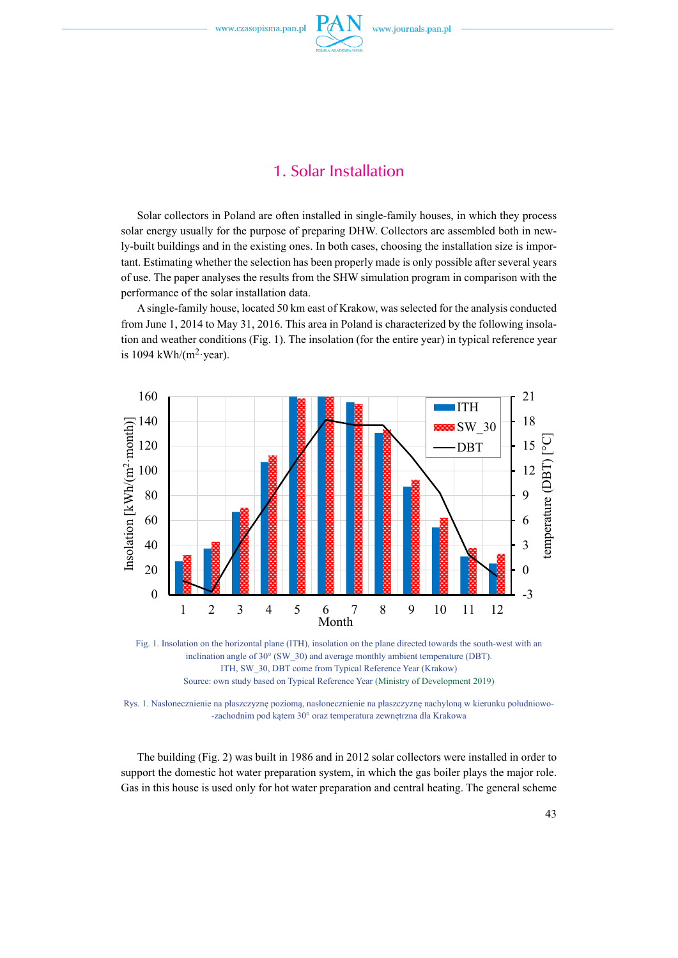

## 1. Solar Installation

Solar collectors in Poland are often installed in single-family houses, in which they process solar energy usually for the purpose of preparing DHW. Collectors are assembled both in newly-built buildings and in the existing ones. In both cases, choosing the installation size is important. Estimating whether the selection has been properly made is only possible after several years of use. The paper analyses the results from the SHW simulation program in comparison with the performance of the solar installation data.

A single-family house, located 50 km east of Krakow, was selected for the analysis conducted from June 1, 2014 to May 31, 2016. This area in Poland is characterized by the following insolation and weather conditions (Fig. 1). The insolation (for the entire year) in typical reference year is 1094 kWh/ $(m^2$ ·year).



Fig. 1. Insolation on the horizontal plane (ITH), insolation on the plane directed towards the south-west with an inclination angle of 30° (SW\_30) and average monthly ambient temperature (DBT). ITH, SW\_30, DBT come from Typical Reference Year (Krakow) Source: own study based on Typical Reference Year (Ministry of Development 2019)

Rys. 1. Nasłonecznienie na płaszczyznę poziomą, nasłonecznienie na płaszczyznę nachyloną w kierunku południowo- -zachodnim pod kątem 30° oraz temperatura zewnętrzna dla Krakowa

The building (Fig. 2) was built in 1986 and in 2012 solar collectors were installed in order to support the domestic hot water preparation system, in which the gas boiler plays the major role. Gas in this house is used only for hot water preparation and central heating. The general scheme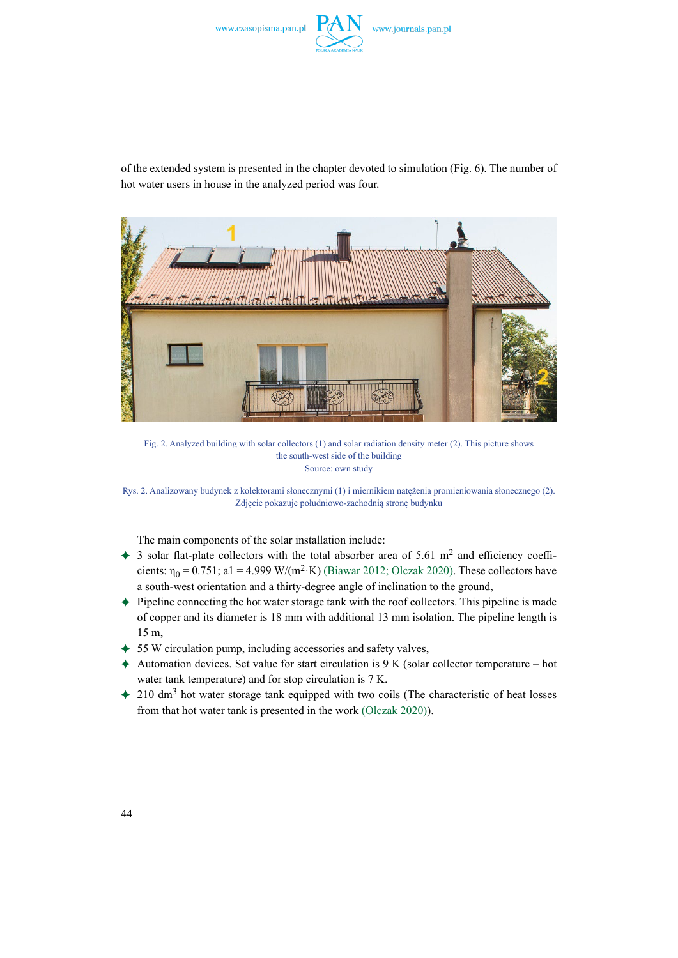

of the extended system is presented in the chapter devoted to simulation (Fig. 6). The number of hot water users in house in the analyzed period was four.



Fig. 2. Analyzed building with solar collectors (1) and solar radiation density meter (2). This picture shows the south-west side of the building Source: own study

Rys. 2. Analizowany budynek z kolektorami słonecznymi (1) i miernikiem natężenia promieniowania słonecznego (2). Zdjęcie pokazuje południowo-zachodnią stronę budynku

The main components of the solar installation include:

- $\div$  3 solar flat-plate collectors with the total absorber area of 5.61 m<sup>2</sup> and efficiency coefficients:  $\eta_0 = 0.751$ ; a1 = 4.999 W/(m<sup>2</sup>·K) (Biawar 2012; Olczak 2020). These collectors have a south-west orientation and a thirty-degree angle of inclination to the ground,
- ) Pipeline connecting the hot water storage tank with the roof collectors. This pipeline is made of copper and its diameter is 18 mm with additional 13 mm isolation. The pipeline length is 15 m,
- $\div$  55 W circulation pump, including accessories and safety valves,
- $\triangle$  Automation devices. Set value for start circulation is 9 K (solar collector temperature hot water tank temperature) and for stop circulation is 7 K.
- $\div$  210 dm<sup>3</sup> hot water storage tank equipped with two coils (The characteristic of heat losses from that hot water tank is presented in the work (Olczak 2020)).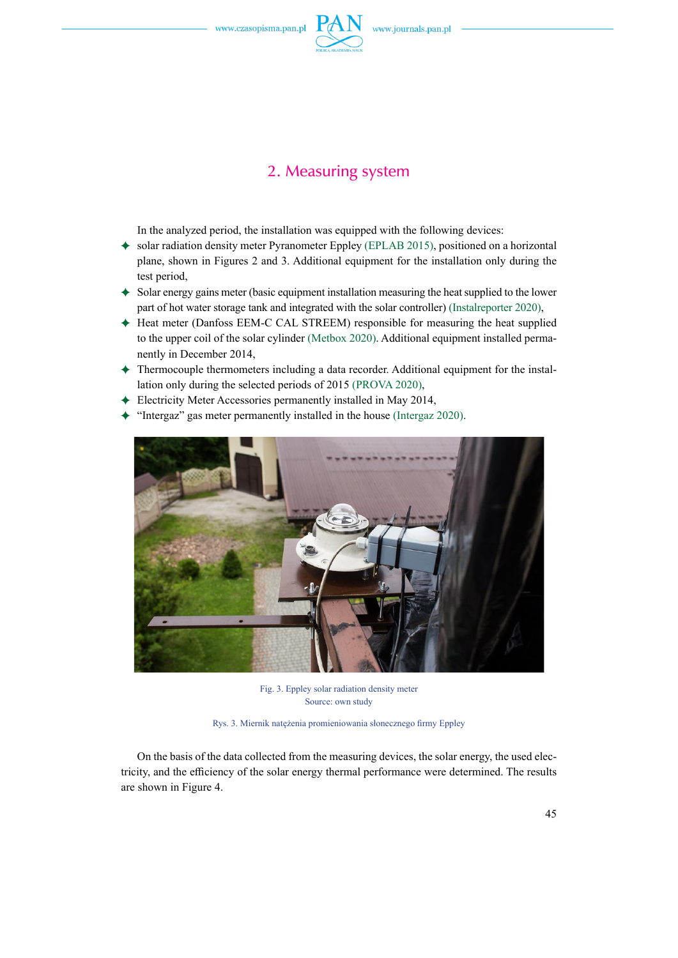

### 2. Measuring system

In the analyzed period, the installation was equipped with the following devices:

- $\bullet$  solar radiation density meter Pyranometer Eppley (EPLAB 2015), positioned on a horizontal plane, shown in Figures 2 and 3. Additional equipment for the installation only during the test period,
- $\triangle$  Solar energy gains meter (basic equipment installation measuring the heat supplied to the lower part of hot water storage tank and integrated with the solar controller) (Instalreporter 2020),
- ) Heat meter (Danfoss EEM-C CAL STREEM) responsible for measuring the heat supplied to the upper coil of the solar cylinder (Metbox 2020). Additional equipment installed permanently in December 2014,
- ) Thermocouple thermometers including a data recorder. Additional equipment for the installation only during the selected periods of 2015 (PROVA 2020),
- ) Electricity Meter Accessories permanently installed in May 2014,
- ) "Intergaz" gas meter permanently installed in the house (Intergaz 2020).



Fig. 3. Eppley solar radiation density meter Source: own study

Rys. 3. Miernik natężenia promieniowania słonecznego firmy Eppley

On the basis of the data collected from the measuring devices, the solar energy, the used electricity, and the efficiency of the solar energy thermal performance were determined. The results are shown in Figure 4.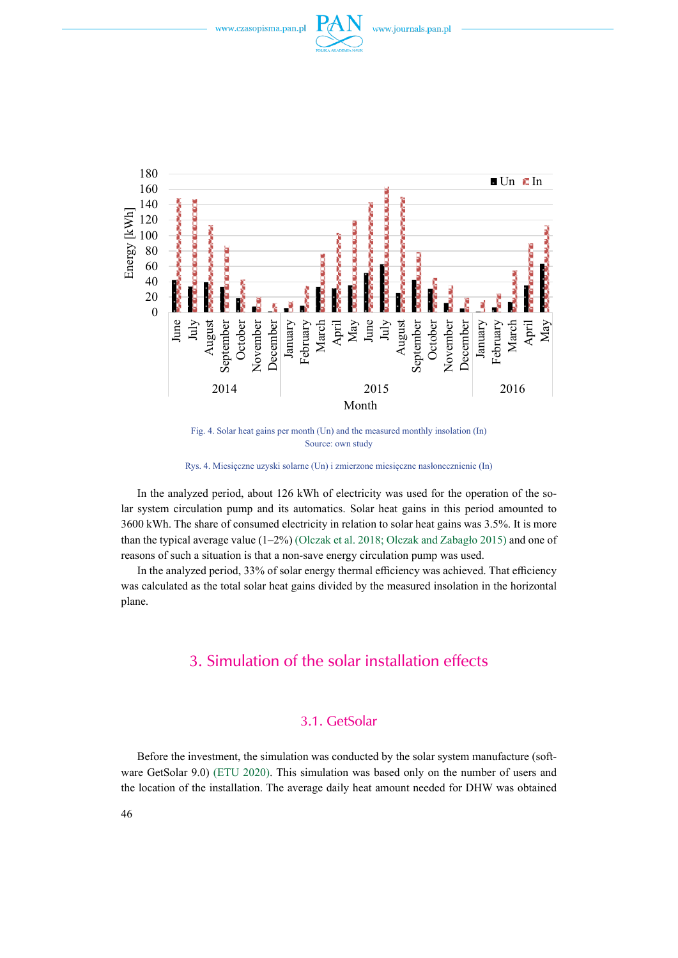



Fig. 4. Solar heat gains per month (Un) and the measured monthly insolation (In) Source: own study

Rys. 4. Miesięczne uzyski solarne (Un) i zmierzone miesięczne nasłonecznienie (In)

In the analyzed period, about 126 kWh of electricity was used for the operation of the solar system circulation pump and its automatics. Solar heat gains in this period amounted to 3600 kWh. The share of consumed electricity in relation to solar heat gains was 3.5%. It is more than the typical average value  $(1-2\%)$  (Olczak et al. 2018; Olczak and Zabagło 2015) and one of reasons of such a situation is that a non-save energy circulation pump was used.

In the analyzed period, 33% of solar energy thermal efficiency was achieved. That efficiency was calculated as the total solar heat gains divided by the measured insolation in the horizontal plane.

#### 3. Simulation of the solar installation effects

#### 3.1. GetSolar

Before the investment, the simulation was conducted by the solar system manufacture (software GetSolar 9.0) (ETU 2020). This simulation was based only on the number of users and the location of the installation. The average daily heat amount needed for DHW was obtained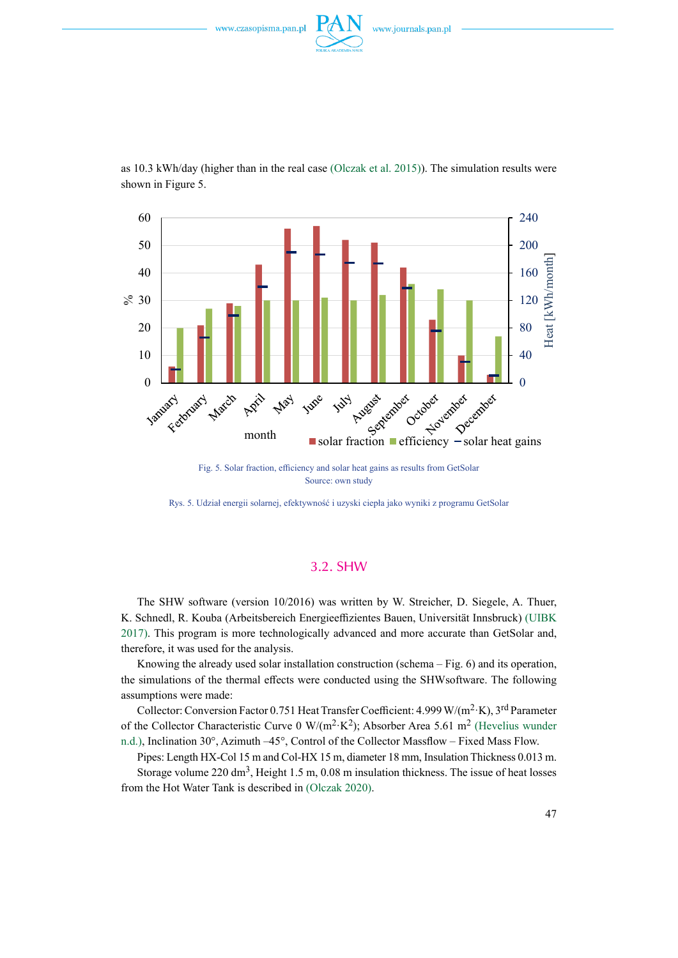

60 240 200 50 Heat [kWh/month] Heat [kWh/month 40 160 120  $\&$  30 80 20 10 40 January  $\theta$ month solar fraction efficiency - solar heat gains March Aziik Feroniacy June May **Tury** 

as 10.3 kWh/day (higher than in the real case (Olczak et al. 2015)). The simulation results were shown in Figure 5.

> Fig. 5. Solar fraction, efficiency and solar heat gains as results from GetSolar Source: own study

Rys. 5. Udział energii solarnej, efektywność i uzyski ciepła jako wyniki z programu GetSolar

#### 3.2. SHW

The SHW software (version 10/2016) was written by W. Streicher, D. Siegele, A. Thuer, K. Schnedl, R. Kouba (Arbeitsbereich Energieeffizientes Bauen, Universität Innsbruck) (UIBK 2017). This program is more technologically advanced and more accurate than GetSolar and, therefore, it was used for the analysis.

Knowing the already used solar installation construction (schema – Fig. 6) and its operation, the simulations of the thermal effects were conducted using the SHWsoftware. The following assumptions were made:

Collector: Conversion Factor 0.751 Heat Transfer Coefficient: 4.999 W/(m<sup>2</sup>·K), 3<sup>rd</sup> Parameter of the Collector Characteristic Curve 0 W/( $m^2$ ·K<sup>2</sup>); Absorber Area 5.61 m<sup>2</sup> (Hevelius wunder n.d.), Inclination 30°, Azimuth –45°, Control of the Collector Massflow – Fixed Mass Flow.

Pipes: Length HX-Col 15 m and Col-HX 15 m, diameter 18 mm, Insulation Thickness 0.013 m. Storage volume  $220 \text{ dm}^3$ , Height 1.5 m, 0.08 m insulation thickness. The issue of heat losses from the Hot Water Tank is described in (Olczak 2020).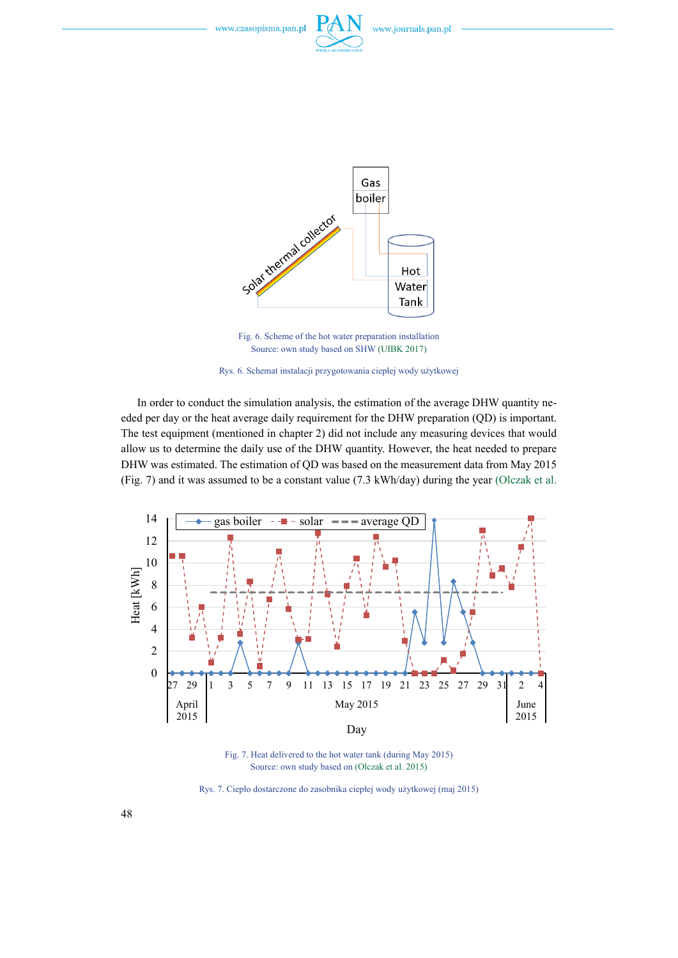





Fig. 6. Scheme of the hot water preparation installation Source: own study based on SHW (UIBK 2017)



In order to conduct the simulation analysis, the estimation of the average DHW quantity needed per day or the heat average daily requirement for the DHW preparation (QD) is important. The test equipment (mentioned in chapter 2) did not include any measuring devices that would allow us to determine the daily use of the DHW quantity. However, the heat needed to prepare DHW was estimated. The estimation of QD was based on the measurement data from May 2015 (Fig. 7) and it was assumed to be a constant value (7.3 kWh/day) during the year (Olczak et al.



Fig. 7. Heat delivered to the hot water tank (during May 2015) Source: own study based on (Olczak et al. 2015)

Rys. 7. Ciepło dostarczone do zasobnika ciepłej wody użytkowej (maj 2015)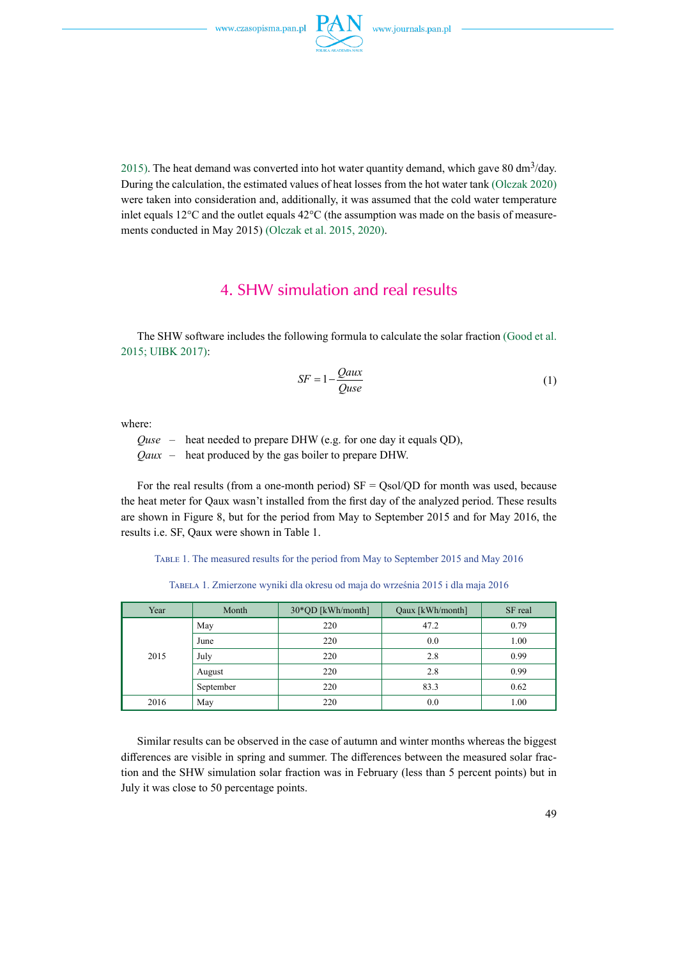

2015). The heat demand was converted into hot water quantity demand, which gave 80 dm<sup>3</sup>/day. During the calculation, the estimated values of heat losses from the hot water tank (Olczak 2020) were taken into consideration and, additionally, it was assumed that the cold water temperature inlet equals 12°C and the outlet equals 42°C (the assumption was made on the basis of measurements conducted in May 2015) (Olczak et al. 2015, 2020).

### 4. SHW simulation and real results

The SHW software includes the following formula to calculate the solar fraction (Good et al. 2015; UIBK 2017):

$$
SF = 1 - \frac{Qaux}{Quse} \tag{1}
$$

where:

*Quse* – heat needed to prepare DHW (e.g. for one day it equals QD),

*Qaux* – heat produced by the gas boiler to prepare DHW.

For the real results (from a one-month period)  $SF = Qsol/QD$  for month was used, because the heat meter for Qaux wasn't installed from the first day of the analyzed period. These results are shown in Figure 8, but for the period from May to September 2015 and for May 2016, the results i.e. SF, Qaux were shown in Table 1.

Table 1. The measured results for the period from May to September 2015 and May 2016

Tabela 1. Zmierzone wyniki dla okresu od maja do września 2015 i dla maja 2016

| Year | Month     | 30*QD [kWh/month] | Qaux [kWh/month] | SF real |
|------|-----------|-------------------|------------------|---------|
| 2015 | May       | 220               | 47.2             | 0.79    |
|      | June      | 220               | 0.0              | 1.00    |
|      | July      | 220               | 2.8              | 0.99    |
|      | August    | 220               | 2.8              | 0.99    |
|      | September | 220               | 83.3             | 0.62    |
| 2016 | May       | 220               | 0.0              | 1.00    |

Similar results can be observed in the case of autumn and winter months whereas the biggest differences are visible in spring and summer. The differences between the measured solar fraction and the SHW simulation solar fraction was in February (less than 5 percent points) but in July it was close to 50 percentage points.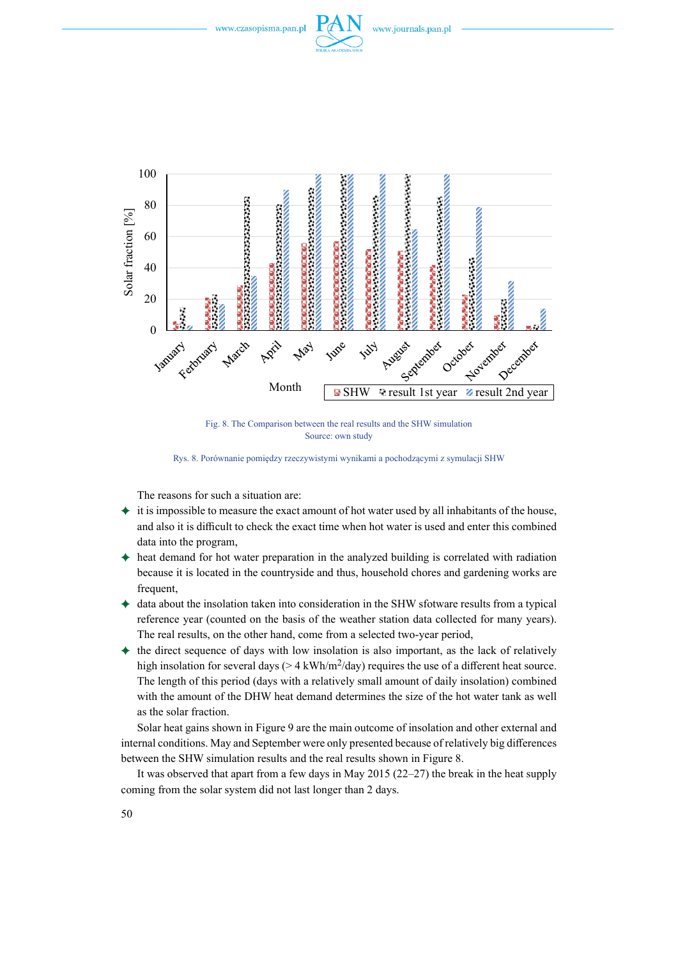





Fig. 8. The Comparison between the real results and the SHW simulation Source: own study

Rys. 8. Porównanie pomiędzy rzeczywistymi wynikami a pochodzącymi z symulacji SHW

The reasons for such a situation are:

- $\triangleq$  it is impossible to measure the exact amount of hot water used by all inhabitants of the house, and also it is difficult to check the exact time when hot water is used and enter this combined data into the program,
- ) heat demand for hot water preparation in the analyzed building is correlated with radiation because it is located in the countryside and thus, household chores and gardening works are frequent,
- $\triangleq$  data about the insolation taken into consideration in the SHW sfotware results from a typical reference year (counted on the basis of the weather station data collected for many years). The real results, on the other hand, come from a selected two-year period,
- $\triangle$  the direct sequence of days with low insolation is also important, as the lack of relatively high insolation for several days ( $> 4 \text{ kWh/m}^2$ /day) requires the use of a different heat source. The length of this period (days with a relatively small amount of daily insolation) combined with the amount of the DHW heat demand determines the size of the hot water tank as well as the solar fraction.

Solar heat gains shown in Figure 9 are the main outcome of insolation and other external and internal conditions. May and September were only presented because of relatively big differences between the SHW simulation results and the real results shown in Figure 8.

It was observed that apart from a few days in May 2015 (22–27) the break in the heat supply coming from the solar system did not last longer than 2 days.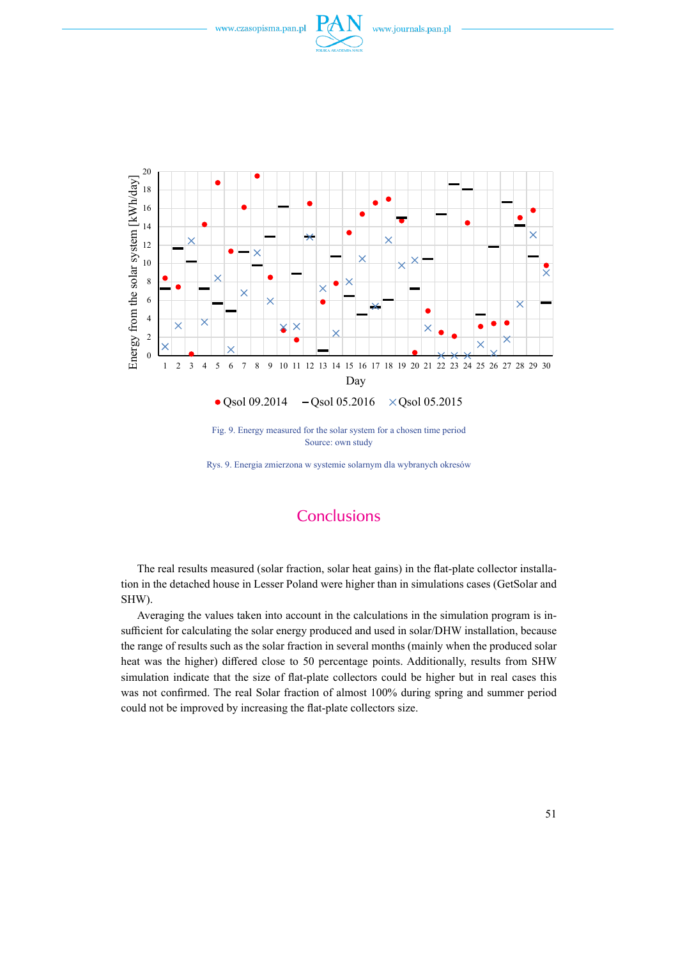



Fig. 9. Energy measured for the solar system for a chosen time period Source: own study

Rys. 9. Energia zmierzona w systemie solarnym dla wybranych okresów

## **Conclusions**

The real results measured (solar fraction, solar heat gains) in the flat-plate collector installation in the detached house in Lesser Poland were higher than in simulations cases (GetSolar and SHW).

Averaging the values taken into account in the calculations in the simulation program is insufficient for calculating the solar energy produced and used in solar/DHW installation, because the range of results such as the solar fraction in several months (mainly when the produced solar heat was the higher) differed close to 50 percentage points. Additionally, results from SHW simulation indicate that the size of flat-plate collectors could be higher but in real cases this was not confirmed. The real Solar fraction of almost 100% during spring and summer period could not be improved by increasing the flat-plate collectors size.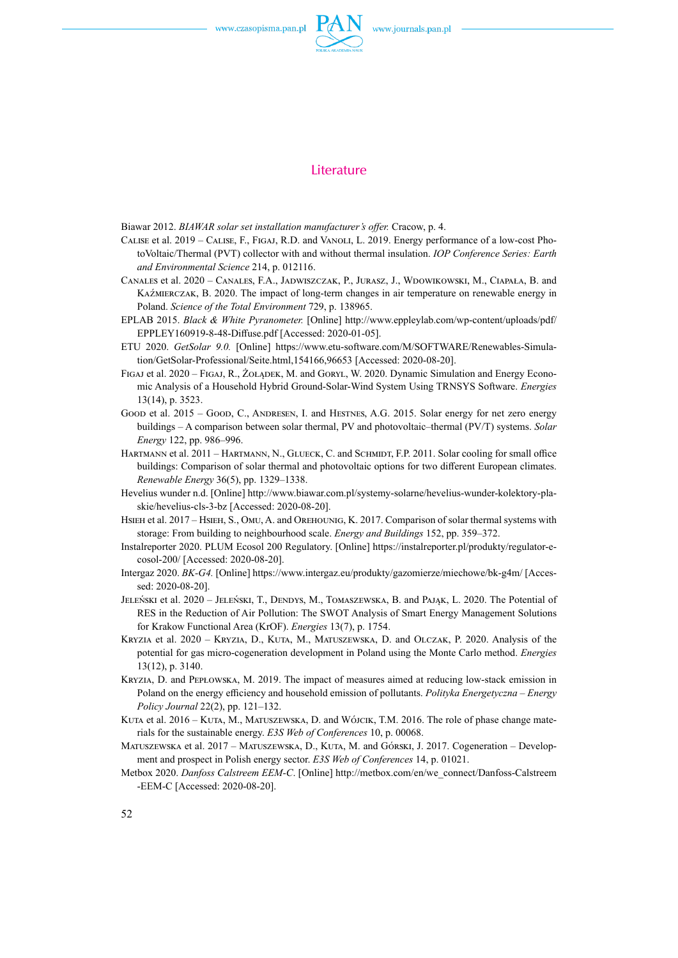

#### **Literature**

Biawar 2012. *BIAWAR solar set installation manufacturer's offer.* Cracow, p. 4.

- Calise et al. 2019 Calise, F., Figaj, R.D. and Vanoli, L. 2019. Energy performance of a low-cost PhotoVoltaic/Thermal (PVT) collector with and without thermal insulation. *IOP Conference Series: Earth and Environmental Science* 214, p. 012116.
- Canales et al. 2020 Canales, F.A., Jadwiszczak, P., Jurasz, J., Wdowikowski, M., Ciapała, B. and Kaźmierczak, B. 2020. The impact of long-term changes in air temperature on renewable energy in Poland. *Science of the Total Environment* 729, p. 138965.
- EPLAB 2015. *Black & White Pyranometer.* [Online] http://www.eppleylab.com/wp-content/uploads/pdf/ EPPLEY160919-8-48-Diffuse.pdf [Accessed: 2020-01-05].
- ETU 2020. *GetSolar 9.0.* [Online] https://www.etu-software.com/M/SOFTWARE/Renewables-Simulation/GetSolar-Professional/Seite.html,154166,96653 [Accessed: 2020-08-20].
- Figaj et al. 2020 Figaj, R., Żołądek, M. and Goryl, W. 2020. Dynamic Simulation and Energy Economic Analysis of a Household Hybrid Ground-Solar-Wind System Using TRNSYS Software. *Energies* 13(14), p. 3523.
- Good et al. 2015 Good, C., ANDRESEN, I. and HESTNES, A.G. 2015. Solar energy for net zero energy buildings – A comparison between solar thermal, PV and photovoltaic–thermal (PV/T) systems. *Solar Energy* 122, pp. 986–996.
- HARTMANN et al. 2011 HARTMANN, N., GLUECK, C. and SCHMIDT, F.P. 2011. Solar cooling for small office buildings: Comparison of solar thermal and photovoltaic options for two different European climates. *Renewable Energy* 36(5), pp. 1329–1338.
- Hevelius wunder n.d. [Online] http://www.biawar.com.pl/systemy-solarne/hevelius-wunder-kolektory-plaskie/hevelius-cls-3-bz [Accessed: 2020-08-20].
- Hsieh et al. 2017 Hsieh, S., Omu, A. and Orehounig, K. 2017. Comparison of solar thermal systems with storage: From building to neighbourhood scale. *Energy and Buildings* 152, pp. 359–372.
- Instalreporter 2020. PLUM Ecosol 200 Regulatory. [Online] https://instalreporter.pl/produkty/regulator-ecosol-200/ [Accessed: 2020-08-20].
- Intergaz 2020. *BK-G4.* [Online] https://www.intergaz.eu/produkty/gazomierze/miechowe/bk-g4m/ [Accessed: 2020-08-20].
- JELEŃSKI et al. 2020 JELEŃSKI, T., DENDYS, M., TOMASZEWSKA, B. and PAJĄK, L. 2020. The Potential of RES in the Reduction of Air Pollution: The SWOT Analysis of Smart Energy Management Solutions for Krakow Functional Area (KrOF). *Energies* 13(7), p. 1754.
- Kryzia et al. 2020 Kryzia, D., Kuta, M., Matuszewska, D. and Olczak, P. 2020. Analysis of the potential for gas micro-cogeneration development in Poland using the Monte Carlo method. *Energies* 13(12), p. 3140.
- Kryzia, D. and Pepłowska, M. 2019. The impact of measures aimed at reducing low-stack emission in Poland on the energy efficiency and household emission of pollutants. *Polityka Energetyczna – Energy Policy Journal* 22(2), pp. 121–132.
- KUTA et al. 2016 KUTA, M., MATUSZEWSKA, D. and WÓJCIK, T.M. 2016. The role of phase change materials for the sustainable energy. *E3S Web of Conferences* 10, p. 00068.
- MATUSZEWSKA et al. 2017 MATUSZEWSKA, D., KUTA, M. and Górski, J. 2017. Cogeneration Development and prospect in Polish energy sector. *E3S Web of Conferences* 14, p. 01021.
- Metbox 2020. *Danfoss Calstreem EEM-C*. [Online] http://metbox.com/en/we\_connect/Danfoss-Calstreem -EEM-C [Accessed: 2020-08-20].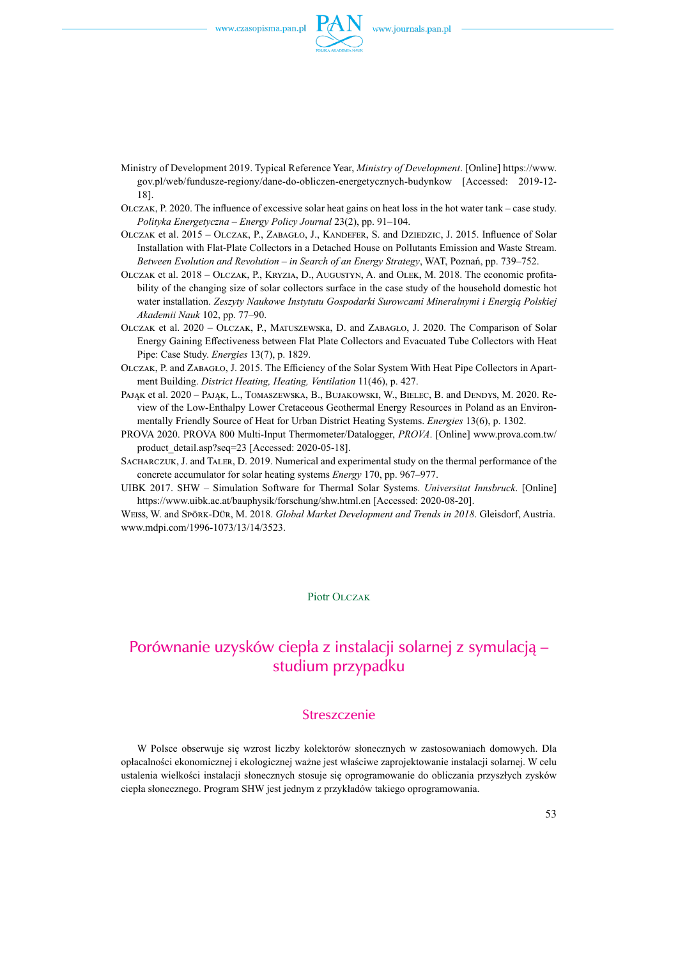

- Ministry of Development 2019. Typical Reference Year, *Ministry of Development*. [Online] https://www. gov.pl/web/fundusze-regiony/dane-do-obliczen-energetycznych-budynkow [Accessed: 2019-12- 18].
- Olczak, P. 2020. The influence of excessive solar heat gains on heat loss in the hot water tank case study. *Polityka Energetyczna – Energy Policy Journal* 23(2), pp. 91–104.
- OLCZAK et al. 2015 OLCZAK, P., ZABAGŁO, J., KANDEFER, S. and DZIEDZIC, J. 2015. Influence of Solar Installation with Flat-Plate Collectors in a Detached House on Pollutants Emission and Waste Stream. *Between Evolution and Revolution – in Search of an Energy Strategy*, WAT, Poznań, pp. 739–752.
- Olczak et al. 2018 Olczak, P., Kryzia, D., Augustyn, A. and Olek, M. 2018. The economic profitability of the changing size of solar collectors surface in the case study of the household domestic hot water installation. *Zeszyty Naukowe Instytutu Gospodarki Surowcami Mineralnymi i Energią Polskiej Akademii Nauk* 102, pp. 77–90.
- Olczak et al. 2020 Olczak, P., Matuszewska, D. and Zabagło, J. 2020. The Comparison of Solar Energy Gaining Effectiveness between Flat Plate Collectors and Evacuated Tube Collectors with Heat Pipe: Case Study. *Energies* 13(7), p. 1829.
- Olczak, P. and Zabagło, J. 2015. The Efficiency of the Solar System With Heat Pipe Collectors in Apartment Building. *District Heating, Heating, Ventilation* 11(46), p. 427.
- PAJĄK et al. 2020 PAJĄK, L., TOMASZEWSKA, B., BUJAKOWSKI, W., BIELEC, B. and DENDYS, M. 2020. Review of the Low-Enthalpy Lower Cretaceous Geothermal Energy Resources in Poland as an Environmentally Friendly Source of Heat for Urban District Heating Systems. *Energies* 13(6), p. 1302.
- PROVA 2020. PROVA 800 Multi-Input Thermometer/Datalogger, *PROVA*. [Online] www.prova.com.tw/ product\_detail.asp?seq=23 [Accessed: 2020-05-18].
- Sacharczuk, J. and Taler, D. 2019. Numerical and experimental study on the thermal performance of the concrete accumulator for solar heating systems *Energy* 170, pp. 967–977.
- UIBK 2017. SHW Simulation Software for Thermal Solar Systems. *Universitat Innsbruck*. [Online] https://www.uibk.ac.at/bauphysik/forschung/shw.html.en [Accessed: 2020-08-20].

Weiss, W. and Spörk‐Dür, M. 2018. *Global Market Development and Trends in 2018*. Gleisdorf, Austria. www.mdpi.com/1996-1073/13/14/3523.

#### Piotr OLCZAK

## Porównanie uzysków ciepła z instalacji solarnej z symulacją – studium przypadku

#### Streszczenie

W Polsce obserwuje się wzrost liczby kolektorów słonecznych w zastosowaniach domowych. Dla opłacalności ekonomicznej i ekologicznej ważne jest właściwe zaprojektowanie instalacji solarnej. W celu ustalenia wielkości instalacji słonecznych stosuje się oprogramowanie do obliczania przyszłych zysków ciepła słonecznego. Program SHW jest jednym z przykładów takiego oprogramowania.